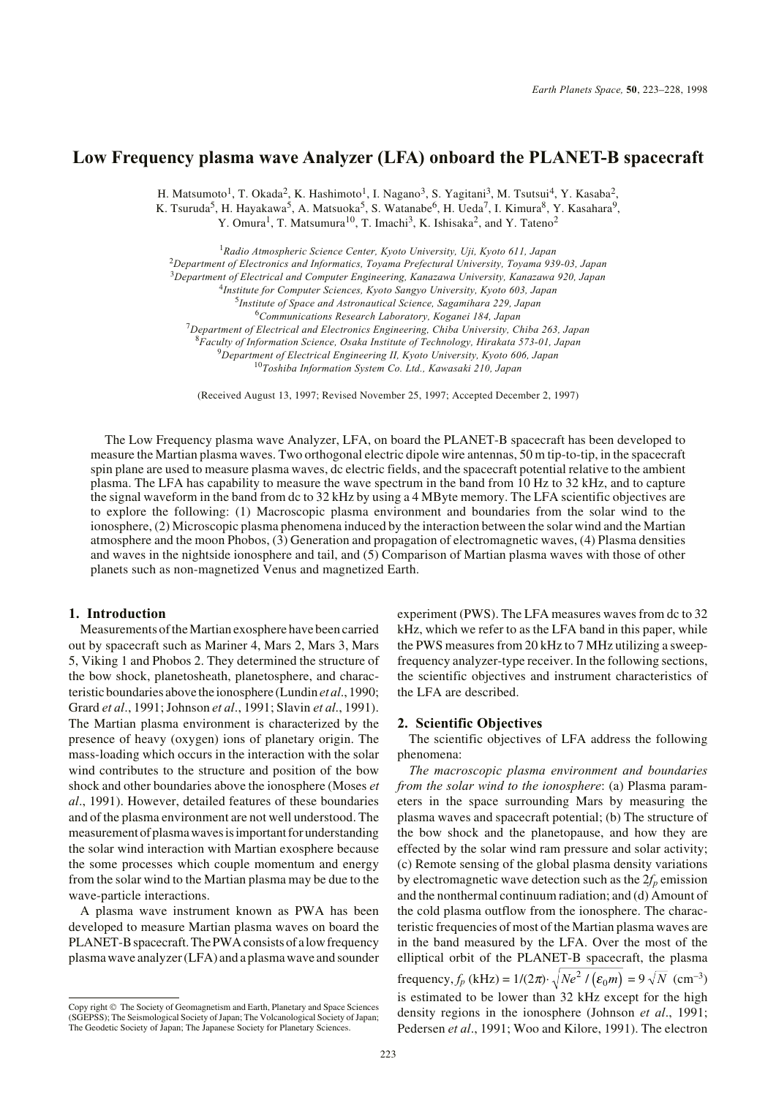# **Low Frequency plasma wave Analyzer (LFA) onboard the PLANET-B spacecraft**

H. Matsumoto<sup>1</sup>, T. Okada<sup>2</sup>, K. Hashimoto<sup>1</sup>, I. Nagano<sup>3</sup>, S. Yagitani<sup>3</sup>, M. Tsutsui<sup>4</sup>, Y. Kasaba<sup>2</sup>,

K. Tsuruda<sup>5</sup>, H. Hayakawa<sup>5</sup>, A. Matsuoka<sup>5</sup>, S. Watanabe<sup>6</sup>, H. Ueda<sup>7</sup>, I. Kimura<sup>8</sup>, Y. Kasahara<sup>9</sup>,

Y. Omura<sup>1</sup>, T. Matsumura<sup>10</sup>, T. Imachi<sup>3</sup>, K. Ishisaka<sup>2</sup>, and Y. Tateno<sup>2</sup>

<sup>1</sup>*Radio Atmospheric Science Center, Kyoto University, Uji, Kyoto 611, Japan* 2 *Department of Electronics and Informatics, Toyama Prefectural University, Toyama 939-03, Japan*

<sup>3</sup>*Department of Electrical and Computer Engineering, Kanazawa University, Kanazawa 920, Japan*

<sup>4</sup>*Institute for Computer Sciences, Kyoto Sangyo University, Kyoto 603, Japan*

5 *Institute of Space and Astronautical Science, Sagamihara 229, Japan*

<sup>6</sup>*Communications Research Laboratory, Koganei 184, Japan*

<sup>7</sup>*Department of Electrical and Electronics Engineering, Chiba University, Chiba 263, Japan*

8 *Faculty of Information Science, Osaka Institute of Technology, Hirakata 573-01, Japan*

<sup>9</sup>*Department of Electrical Engineering II, Kyoto University, Kyoto 606, Japan*

<sup>10</sup>*Toshiba Information System Co. Ltd., Kawasaki 210, Japan*

(Received August 13, 1997; Revised November 25, 1997; Accepted December 2, 1997)

The Low Frequency plasma wave Analyzer, LFA, on board the PLANET-B spacecraft has been developed to measure the Martian plasma waves. Two orthogonal electric dipole wire antennas, 50 m tip-to-tip, in the spacecraft spin plane are used to measure plasma waves, dc electric fields, and the spacecraft potential relative to the ambient plasma. The LFA has capability to measure the wave spectrum in the band from 10 Hz to 32 kHz, and to capture the signal waveform in the band from dc to 32 kHz by using a 4 MByte memory. The LFA scientific objectives are to explore the following: (1) Macroscopic plasma environment and boundaries from the solar wind to the ionosphere, (2) Microscopic plasma phenomena induced by the interaction between the solar wind and the Martian atmosphere and the moon Phobos, (3) Generation and propagation of electromagnetic waves, (4) Plasma densities and waves in the nightside ionosphere and tail, and (5) Comparison of Martian plasma waves with those of other planets such as non-magnetized Venus and magnetized Earth.

#### **1. Introduction**

Measurements of the Martian exosphere have been carried out by spacecraft such as Mariner 4, Mars 2, Mars 3, Mars 5, Viking 1 and Phobos 2. They determined the structure of the bow shock, planetosheath, planetosphere, and characteristic boundaries above the ionosphere (Lundin *et al*., 1990; Grard *et al*., 1991; Johnson *et al*., 1991; Slavin *et al*., 1991). The Martian plasma environment is characterized by the presence of heavy (oxygen) ions of planetary origin. The mass-loading which occurs in the interaction with the solar wind contributes to the structure and position of the bow shock and other boundaries above the ionosphere (Moses *et al*., 1991). However, detailed features of these boundaries and of the plasma environment are not well understood. The measurement of plasma waves is important for understanding the solar wind interaction with Martian exosphere because the some processes which couple momentum and energy from the solar wind to the Martian plasma may be due to the wave-particle interactions.

A plasma wave instrument known as PWA has been developed to measure Martian plasma waves on board the PLANET-B spacecraft. The PWA consists of a low frequency plasma wave analyzer (LFA) and a plasma wave and sounder experiment (PWS). The LFA measures waves from dc to 32 kHz, which we refer to as the LFA band in this paper, while the PWS measures from 20 kHz to 7 MHz utilizing a sweepfrequency analyzer-type receiver. In the following sections, the scientific objectives and instrument characteristics of the LFA are described.

#### **2. Scientific Objectives**

The scientific objectives of LFA address the following phenomena:

*The macroscopic plasma environment and boundaries from the solar wind to the ionosphere*: (a) Plasma parameters in the space surrounding Mars by measuring the plasma waves and spacecraft potential; (b) The structure of the bow shock and the planetopause, and how they are effected by the solar wind ram pressure and solar activity; (c) Remote sensing of the global plasma density variations by electromagnetic wave detection such as the  $2f_p$  emission and the nonthermal continuum radiation; and (d) Amount of the cold plasma outflow from the ionosphere. The characteristic frequencies of most of the Martian plasma waves are in the band measured by the LFA. Over the most of the elliptical orbit of the PLANET-B spacecraft, the plasma frequency,  $f_p$  (kHz) =  $1/(2\pi) \cdot \sqrt{Ne^2}/(\varepsilon_0 m) = 9\sqrt{N}$  (cm<sup>-3</sup>) is estimated to be lower than 32 kHz except for the high density regions in the ionosphere (Johnson *et al*., 1991; Pedersen *et al*., 1991; Woo and Kilore, 1991). The electron

Copy right © The Society of Geomagnetism and Earth, Planetary and Space Sciences (SGEPSS); The Seismological Society of Japan; The Volcanological Society of Japan; The Geodetic Society of Japan; The Japanese Society for Planetary Sciences.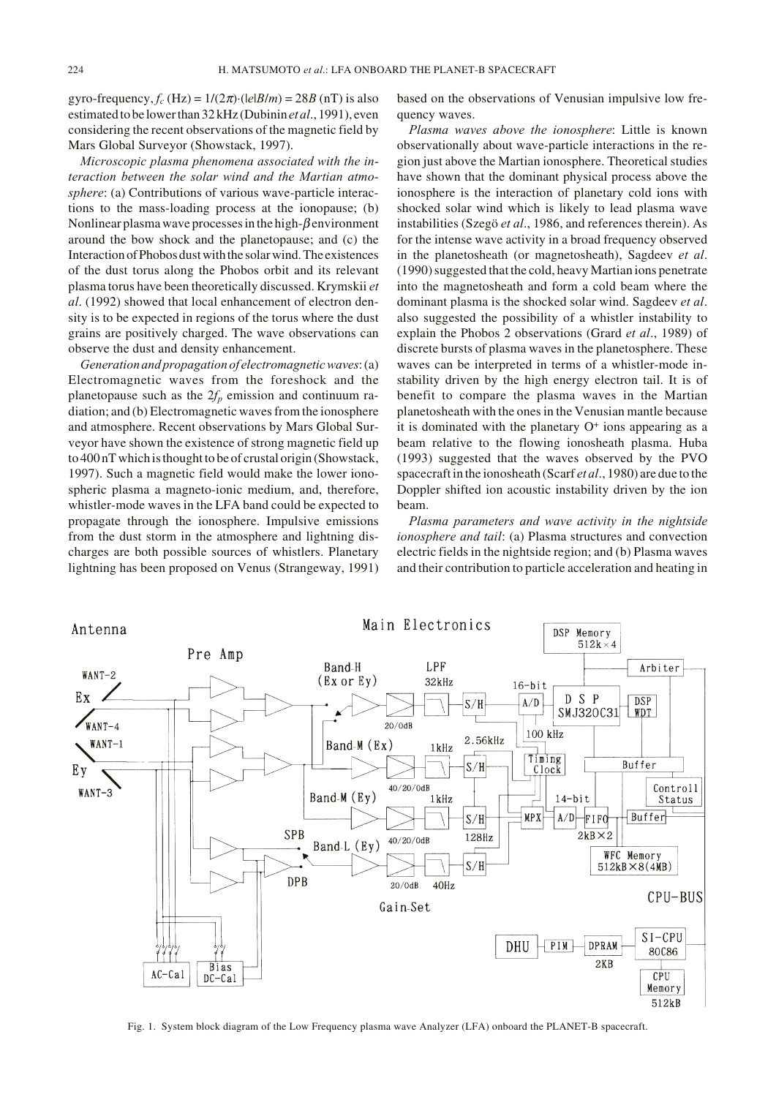gyro-frequency,  $f_c$  (Hz) =  $1/(2\pi)$ ·( $|e|B/m$ ) = 28*B* (nT) is also estimated to be lower than 32 kHz (Dubinin *et al*., 1991), even considering the recent observations of the magnetic field by Mars Global Surveyor (Showstack, 1997).

*Microscopic plasma phenomena associated with the interaction between the solar wind and the Martian atmosphere*: (a) Contributions of various wave-particle interactions to the mass-loading process at the ionopause; (b) Nonlinear plasma wave processes in the high-β environment around the bow shock and the planetopause; and (c) the Interaction of Phobos dust with the solar wind. The existences of the dust torus along the Phobos orbit and its relevant plasma torus have been theoretically discussed. Krymskii *et al*. (1992) showed that local enhancement of electron density is to be expected in regions of the torus where the dust grains are positively charged. The wave observations can observe the dust and density enhancement.

*Generation and propagation of electromagnetic waves*: (a) Electromagnetic waves from the foreshock and the planetopause such as the  $2f_p$  emission and continuum radiation; and (b) Electromagnetic waves from the ionosphere and atmosphere. Recent observations by Mars Global Surveyor have shown the existence of strong magnetic field up to 400 nT which is thought to be of crustal origin (Showstack, 1997). Such a magnetic field would make the lower ionospheric plasma a magneto-ionic medium, and, therefore, whistler-mode waves in the LFA band could be expected to propagate through the ionosphere. Impulsive emissions from the dust storm in the atmosphere and lightning discharges are both possible sources of whistlers. Planetary lightning has been proposed on Venus (Strangeway, 1991)

based on the observations of Venusian impulsive low frequency waves.

*Plasma waves above the ionosphere*: Little is known observationally about wave-particle interactions in the region just above the Martian ionosphere. Theoretical studies have shown that the dominant physical process above the ionosphere is the interaction of planetary cold ions with shocked solar wind which is likely to lead plasma wave instabilities (Szegö *et al*., 1986, and references therein). As for the intense wave activity in a broad frequency observed in the planetosheath (or magnetosheath), Sagdeev *et al*. (1990) suggested that the cold, heavy Martian ions penetrate into the magnetosheath and form a cold beam where the dominant plasma is the shocked solar wind. Sagdeev *et al*. also suggested the possibility of a whistler instability to explain the Phobos 2 observations (Grard *et al*., 1989) of discrete bursts of plasma waves in the planetosphere. These waves can be interpreted in terms of a whistler-mode instability driven by the high energy electron tail. It is of benefit to compare the plasma waves in the Martian planetosheath with the ones in the Venusian mantle because it is dominated with the planetary  $O<sup>+</sup>$  ions appearing as a beam relative to the flowing ionosheath plasma. Huba (1993) suggested that the waves observed by the PVO spacecraft in the ionosheath (Scarf *et al*., 1980) are due to the Doppler shifted ion acoustic instability driven by the ion beam.

*Plasma parameters and wave activity in the nightside ionosphere and tail*: (a) Plasma structures and convection electric fields in the nightside region; and (b) Plasma waves and their contribution to particle acceleration and heating in



Fig. 1. System block diagram of the Low Frequency plasma wave Analyzer (LFA) onboard the PLANET-B spacecraft.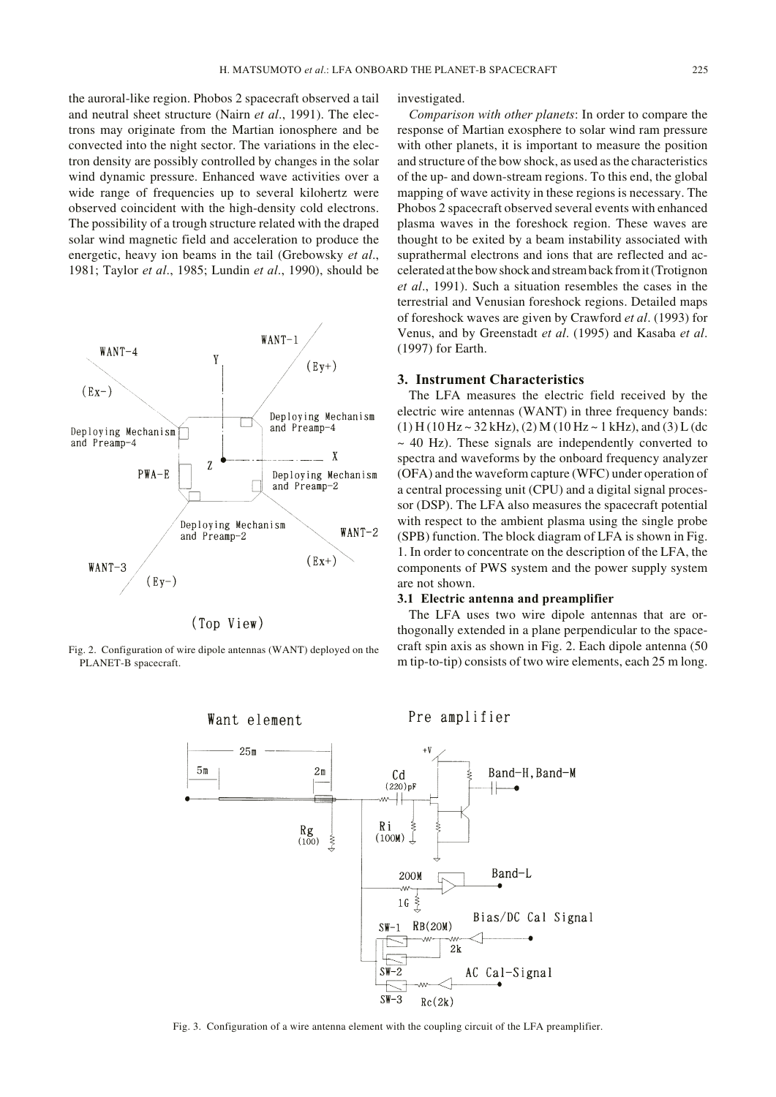the auroral-like region. Phobos 2 spacecraft observed a tail and neutral sheet structure (Nairn *et al*., 1991). The electrons may originate from the Martian ionosphere and be convected into the night sector. The variations in the electron density are possibly controlled by changes in the solar wind dynamic pressure. Enhanced wave activities over a wide range of frequencies up to several kilohertz were observed coincident with the high-density cold electrons. The possibility of a trough structure related with the draped solar wind magnetic field and acceleration to produce the energetic, heavy ion beams in the tail (Grebowsky *et al*., 1981; Taylor *et al*., 1985; Lundin *et al*., 1990), should be



# (Top View)

Fig. 2. Configuration of wire dipole antennas (WANT) deployed on the PLANET-B spacecraft.

investigated.

*Comparison with other planets*: In order to compare the response of Martian exosphere to solar wind ram pressure with other planets, it is important to measure the position and structure of the bow shock, as used as the characteristics of the up- and down-stream regions. To this end, the global mapping of wave activity in these regions is necessary. The Phobos 2 spacecraft observed several events with enhanced plasma waves in the foreshock region. These waves are thought to be exited by a beam instability associated with suprathermal electrons and ions that are reflected and accelerated at the bow shock and stream back from it (Trotignon *et al*., 1991). Such a situation resembles the cases in the terrestrial and Venusian foreshock regions. Detailed maps of foreshock waves are given by Crawford *et al*. (1993) for Venus, and by Greenstadt *et al*. (1995) and Kasaba *et al*. (1997) for Earth.

#### **3. Instrument Characteristics**

The LFA measures the electric field received by the electric wire antennas (WANT) in three frequency bands: (1) H (10 Hz  $\sim$  32 kHz), (2) M (10 Hz  $\sim$  1 kHz), and (3) L (dc  $\sim$  40 Hz). These signals are independently converted to spectra and waveforms by the onboard frequency analyzer (OFA) and the waveform capture (WFC) under operation of a central processing unit (CPU) and a digital signal processor (DSP). The LFA also measures the spacecraft potential with respect to the ambient plasma using the single probe (SPB) function. The block diagram of LFA is shown in Fig. 1. In order to concentrate on the description of the LFA, the components of PWS system and the power supply system are not shown.

## **3.1 Electric antenna and preamplifier**

The LFA uses two wire dipole antennas that are orthogonally extended in a plane perpendicular to the spacecraft spin axis as shown in Fig. 2. Each dipole antenna (50 m tip-to-tip) consists of two wire elements, each 25 m long.

Pre amplifier



Fig. 3. Configuration of a wire antenna element with the coupling circuit of the LFA preamplifier.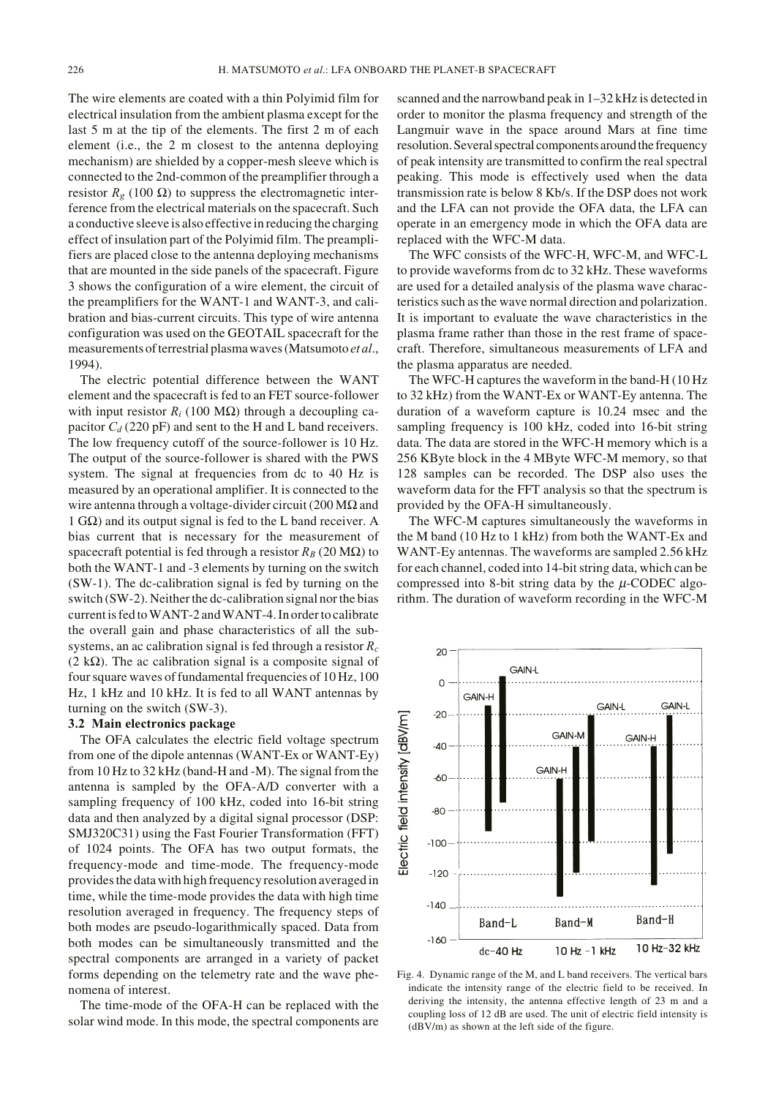The wire elements are coated with a thin Polyimid film for electrical insulation from the ambient plasma except for the last 5 m at the tip of the elements. The first 2 m of each element (i.e., the 2 m closest to the antenna deploying mechanism) are shielded by a copper-mesh sleeve which is connected to the 2nd-common of the preamplifier through a resistor  $R_g$  (100 Ω) to suppress the electromagnetic interference from the electrical materials on the spacecraft. Such a conductive sleeve is also effective in reducing the charging effect of insulation part of the Polyimid film. The preamplifiers are placed close to the antenna deploying mechanisms that are mounted in the side panels of the spacecraft. Figure 3 shows the configuration of a wire element, the circuit of the preamplifiers for the WANT-1 and WANT-3, and calibration and bias-current circuits. This type of wire antenna configuration was used on the GEOTAIL spacecraft for the measurements of terrestrial plasma waves (Matsumoto *et al*., 1994).

The electric potential difference between the WANT element and the spacecraft is fed to an FET source-follower with input resistor  $R_i$  (100 MΩ) through a decoupling capacitor  $C_d$  (220 pF) and sent to the H and L band receivers. The low frequency cutoff of the source-follower is 10 Hz. The output of the source-follower is shared with the PWS system. The signal at frequencies from dc to 40 Hz is measured by an operational amplifier. It is connected to the wire antenna through a voltage-divider circuit (200 MΩ and 1 GΩ) and its output signal is fed to the L band receiver. A bias current that is necessary for the measurement of spacecraft potential is fed through a resistor  $R_B$  (20 M $\Omega$ ) to both the WANT-1 and -3 elements by turning on the switch (SW-1). The dc-calibration signal is fed by turning on the switch (SW-2). Neither the dc-calibration signal nor the bias current is fed to WANT-2 and WANT-4. In order to calibrate the overall gain and phase characteristics of all the subsystems, an ac calibration signal is fed through a resistor *Rc* (2 k $\Omega$ ). The ac calibration signal is a composite signal of four square waves of fundamental frequencies of 10 Hz, 100 Hz, 1 kHz and 10 kHz. It is fed to all WANT antennas by turning on the switch (SW-3).

### **3.2 Main electronics package**

The OFA calculates the electric field voltage spectrum from one of the dipole antennas (WANT-Ex or WANT-Ey) from 10 Hz to 32 kHz (band-H and -M). The signal from the antenna is sampled by the OFA-A/D converter with a sampling frequency of 100 kHz, coded into 16-bit string data and then analyzed by a digital signal processor (DSP: SMJ320C31) using the Fast Fourier Transformation (FFT) of 1024 points. The OFA has two output formats, the frequency-mode and time-mode. The frequency-mode provides the data with high frequency resolution averaged in time, while the time-mode provides the data with high time resolution averaged in frequency. The frequency steps of both modes are pseudo-logarithmically spaced. Data from both modes can be simultaneously transmitted and the spectral components are arranged in a variety of packet forms depending on the telemetry rate and the wave phenomena of interest.

The time-mode of the OFA-H can be replaced with the solar wind mode. In this mode, the spectral components are scanned and the narrowband peak in 1–32 kHz is detected in order to monitor the plasma frequency and strength of the Langmuir wave in the space around Mars at fine time resolution. Several spectral components around the frequency of peak intensity are transmitted to confirm the real spectral peaking. This mode is effectively used when the data transmission rate is below 8 Kb/s. If the DSP does not work and the LFA can not provide the OFA data, the LFA can operate in an emergency mode in which the OFA data are replaced with the WFC-M data.

The WFC consists of the WFC-H, WFC-M, and WFC-L to provide waveforms from dc to 32 kHz. These waveforms are used for a detailed analysis of the plasma wave characteristics such as the wave normal direction and polarization. It is important to evaluate the wave characteristics in the plasma frame rather than those in the rest frame of spacecraft. Therefore, simultaneous measurements of LFA and the plasma apparatus are needed.

The WFC-H captures the waveform in the band-H (10 Hz to 32 kHz) from the WANT-Ex or WANT-Ey antenna. The duration of a waveform capture is 10.24 msec and the sampling frequency is 100 kHz, coded into 16-bit string data. The data are stored in the WFC-H memory which is a 256 KByte block in the 4 MByte WFC-M memory, so that 128 samples can be recorded. The DSP also uses the waveform data for the FFT analysis so that the spectrum is provided by the OFA-H simultaneously.

The WFC-M captures simultaneously the waveforms in the M band (10 Hz to 1 kHz) from both the WANT-Ex and WANT-Ey antennas. The waveforms are sampled 2.56 kHz for each channel, coded into 14-bit string data, which can be compressed into 8-bit string data by the  $\mu$ -CODEC algorithm. The duration of waveform recording in the WFC-M



Fig. 4. Dynamic range of the M, and L band receivers. The vertical bars indicate the intensity range of the electric field to be received. In deriving the intensity, the antenna effective length of 23 m and a coupling loss of 12 dB are used. The unit of electric field intensity is (dBV/m) as shown at the left side of the figure.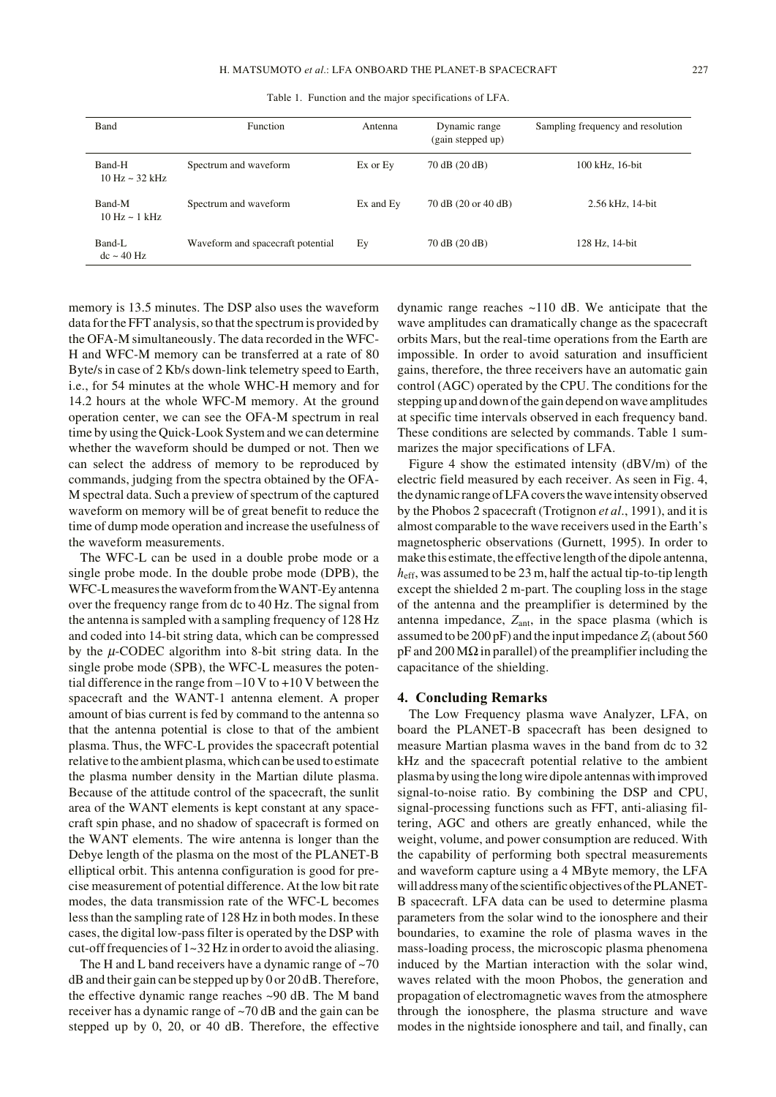| Band                                          | Function                          | Antenna   | Dynamic range<br>(gain stepped up) | Sampling frequency and resolution |
|-----------------------------------------------|-----------------------------------|-----------|------------------------------------|-----------------------------------|
| Band-H<br>$10 \text{ Hz} \sim 32 \text{ kHz}$ | Spectrum and waveform             | Ex or Ey  | 70 dB (20 dB)                      | 100 kHz, 16-bit                   |
| Band-M<br>$10$ Hz $\sim$ 1 kHz                | Spectrum and waveform             | Ex and Ey | 70 dB (20 or 40 dB)                | 2.56 kHz, 14-bit                  |
| Band-L<br>$dc \sim 40$ Hz                     | Waveform and spacecraft potential | Ey        | 70 dB (20 dB)                      | 128 Hz, 14-bit                    |

Table 1. Function and the major specifications of LFA.

memory is 13.5 minutes. The DSP also uses the waveform data for the FFT analysis, so that the spectrum is provided by the OFA-M simultaneously. The data recorded in the WFC-H and WFC-M memory can be transferred at a rate of 80 Byte/s in case of 2 Kb/s down-link telemetry speed to Earth, i.e., for 54 minutes at the whole WHC-H memory and for 14.2 hours at the whole WFC-M memory. At the ground operation center, we can see the OFA-M spectrum in real time by using the Quick-Look System and we can determine whether the waveform should be dumped or not. Then we can select the address of memory to be reproduced by commands, judging from the spectra obtained by the OFA-M spectral data. Such a preview of spectrum of the captured waveform on memory will be of great benefit to reduce the time of dump mode operation and increase the usefulness of the waveform measurements.

The WFC-L can be used in a double probe mode or a single probe mode. In the double probe mode (DPB), the WFC-L measures the waveform from the WANT-Ey antenna over the frequency range from dc to 40 Hz. The signal from the antenna is sampled with a sampling frequency of 128 Hz and coded into 14-bit string data, which can be compressed by the  $\mu$ -CODEC algorithm into 8-bit string data. In the single probe mode (SPB), the WFC-L measures the potential difference in the range from  $-10$  V to  $+10$  V between the spacecraft and the WANT-1 antenna element. A proper amount of bias current is fed by command to the antenna so that the antenna potential is close to that of the ambient plasma. Thus, the WFC-L provides the spacecraft potential relative to the ambient plasma, which can be used to estimate the plasma number density in the Martian dilute plasma. Because of the attitude control of the spacecraft, the sunlit area of the WANT elements is kept constant at any spacecraft spin phase, and no shadow of spacecraft is formed on the WANT elements. The wire antenna is longer than the Debye length of the plasma on the most of the PLANET-B elliptical orbit. This antenna configuration is good for precise measurement of potential difference. At the low bit rate modes, the data transmission rate of the WFC-L becomes less than the sampling rate of 128 Hz in both modes. In these cases, the digital low-pass filter is operated by the DSP with cut-off frequencies of 1~32 Hz in order to avoid the aliasing.

The H and L band receivers have a dynamic range of  $\sim$ 70 dB and their gain can be stepped up by 0 or 20 dB. Therefore, the effective dynamic range reaches ~90 dB. The M band receiver has a dynamic range of ~70 dB and the gain can be stepped up by 0, 20, or 40 dB. Therefore, the effective

dynamic range reaches  $\sim$ 110 dB. We anticipate that the wave amplitudes can dramatically change as the spacecraft orbits Mars, but the real-time operations from the Earth are impossible. In order to avoid saturation and insufficient gains, therefore, the three receivers have an automatic gain control (AGC) operated by the CPU. The conditions for the stepping up and down of the gain depend on wave amplitudes at specific time intervals observed in each frequency band. These conditions are selected by commands. Table 1 summarizes the major specifications of LFA.

Figure 4 show the estimated intensity (dBV/m) of the electric field measured by each receiver. As seen in Fig. 4, the dynamic range of LFA covers the wave intensity observed by the Phobos 2 spacecraft (Trotignon *et al*., 1991), and it is almost comparable to the wave receivers used in the Earth's magnetospheric observations (Gurnett, 1995). In order to make this estimate, the effective length of the dipole antenna, *h*eff, was assumed to be 23 m, half the actual tip-to-tip length except the shielded 2 m-part. The coupling loss in the stage of the antenna and the preamplifier is determined by the antenna impedance, *Z*ant, in the space plasma (which is assumed to be 200 pF) and the input impedance *Z*i (about 560  $pF$  and 200 M $\Omega$  in parallel) of the preamplifier including the capacitance of the shielding.

#### **4. Concluding Remarks**

The Low Frequency plasma wave Analyzer, LFA, on board the PLANET-B spacecraft has been designed to measure Martian plasma waves in the band from dc to 32 kHz and the spacecraft potential relative to the ambient plasma by using the long wire dipole antennas with improved signal-to-noise ratio. By combining the DSP and CPU, signal-processing functions such as FFT, anti-aliasing filtering, AGC and others are greatly enhanced, while the weight, volume, and power consumption are reduced. With the capability of performing both spectral measurements and waveform capture using a 4 MByte memory, the LFA will address many of the scientific objectives of the PLANET-B spacecraft. LFA data can be used to determine plasma parameters from the solar wind to the ionosphere and their boundaries, to examine the role of plasma waves in the mass-loading process, the microscopic plasma phenomena induced by the Martian interaction with the solar wind, waves related with the moon Phobos, the generation and propagation of electromagnetic waves from the atmosphere through the ionosphere, the plasma structure and wave modes in the nightside ionosphere and tail, and finally, can